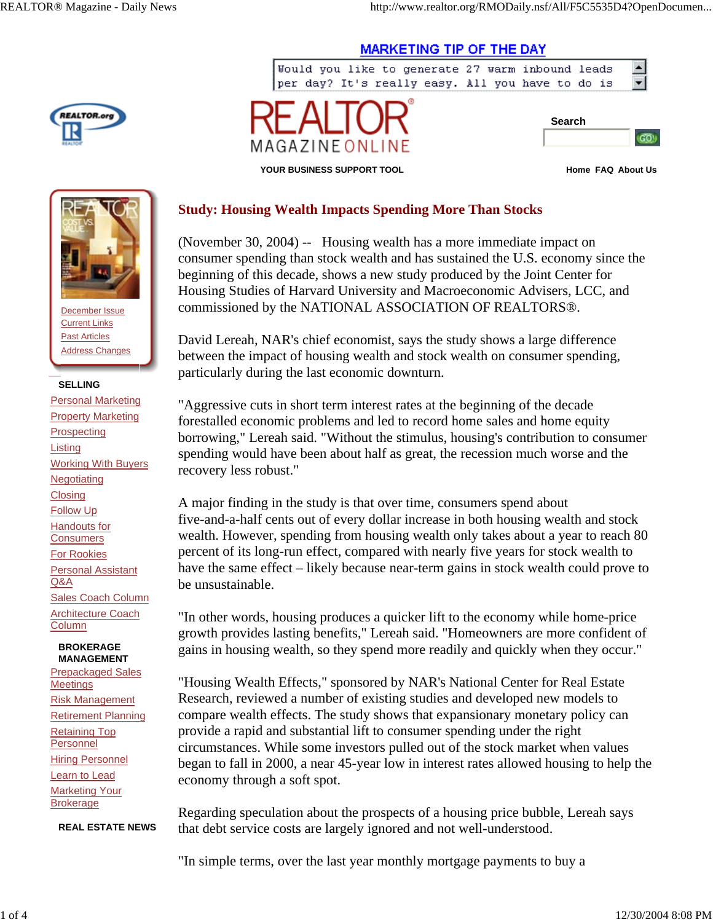



**YOUR BUSINESS SUPPORT TOOL Home FAQ About Us**

 $\blacktriangle$ 

 $\blacksquare$ 

 $GO!$ 



December Issue Current Links Past Articles Address Changes

## **SELLING**

Personal Marketing **Property Marketing Prospecting Listing** Working With Buyers **Negotiating Closing** Follow Up Handouts for **Consumers** For Rookies Personal Assistant Q&A Sales Coach Column Architecture Coach **Column** 

#### **BROKERAGE MANAGEMENT**

Prepackaged Sales **Meetings** Risk Management Retirement Planning Retaining Top Personnel **Hiring Personnel** Learn to Lead **Marketing Your** Brokerage

**REAL ESTATE NEWS**

# **Study: Housing Wealth Impacts Spending More Than Stocks**

MAGAZINE ONLIN

(November 30, 2004) -- Housing wealth has a more immediate impact on consumer spending than stock wealth and has sustained the U.S. economy since the beginning of this decade, shows a new study produced by the Joint Center for Housing Studies of Harvard University and Macroeconomic Advisers, LCC, and commissioned by the NATIONAL ASSOCIATION OF REALTORS®.

**MARKETING TIP OF THE DAY** 

Would you like to generate 27 warm inbound leads per day? It's really easy. All you have to do is

David Lereah, NAR's chief economist, says the study shows a large difference between the impact of housing wealth and stock wealth on consumer spending, particularly during the last economic downturn.

"Aggressive cuts in short term interest rates at the beginning of the decade forestalled economic problems and led to record home sales and home equity borrowing," Lereah said. "Without the stimulus, housing's contribution to consumer spending would have been about half as great, the recession much worse and the recovery less robust."

A major finding in the study is that over time, consumers spend about five-and-a-half cents out of every dollar increase in both housing wealth and stock wealth. However, spending from housing wealth only takes about a year to reach 80 percent of its long-run effect, compared with nearly five years for stock wealth to have the same effect – likely because near-term gains in stock wealth could prove to be unsustainable.

"In other words, housing produces a quicker lift to the economy while home-price growth provides lasting benefits," Lereah said. "Homeowners are more confident of gains in housing wealth, so they spend more readily and quickly when they occur."

"Housing Wealth Effects," sponsored by NAR's National Center for Real Estate Research, reviewed a number of existing studies and developed new models to compare wealth effects. The study shows that expansionary monetary policy can provide a rapid and substantial lift to consumer spending under the right circumstances. While some investors pulled out of the stock market when values began to fall in 2000, a near 45-year low in interest rates allowed housing to help the economy through a soft spot.

Regarding speculation about the prospects of a housing price bubble, Lereah says that debt service costs are largely ignored and not well-understood.

"In simple terms, over the last year monthly mortgage payments to buy a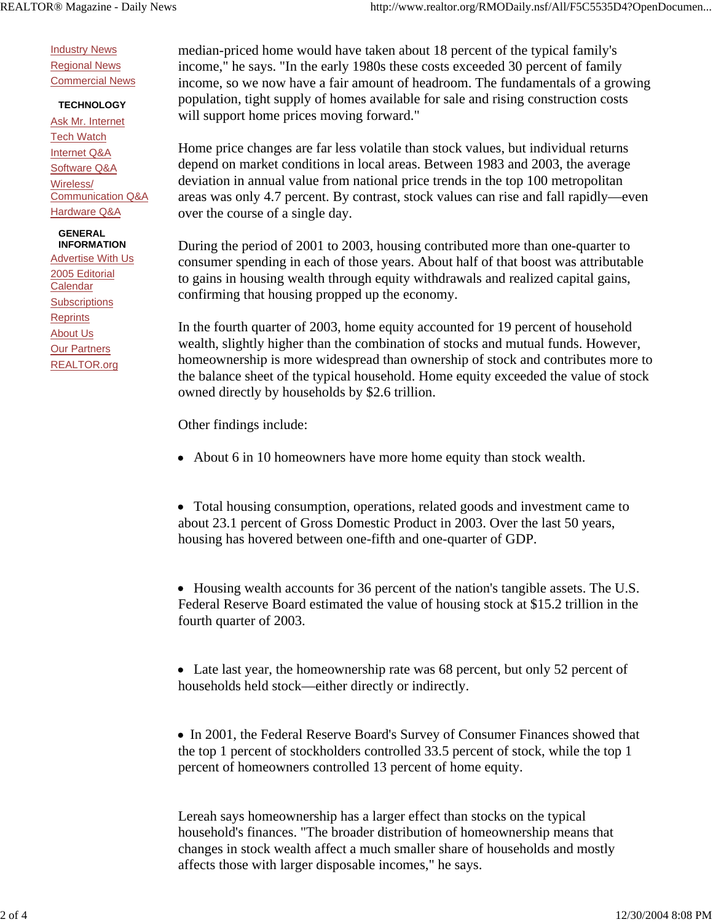**Industry News** Regional News Commercial News

## **TECHNOLOGY**

Ask Mr. Internet Tech Watch Internet Q&A Software Q&A Wireless/ Communication Q&A Hardware Q&A

### **GENERAL INFORMATION**

Advertise With Us 2005 Editorial **Calendar Subscriptions Reprints** About Us Our Partners REALTOR.org

median-priced home would have taken about 18 percent of the typical family's income," he says. "In the early 1980s these costs exceeded 30 percent of family income, so we now have a fair amount of headroom. The fundamentals of a growing population, tight supply of homes available for sale and rising construction costs will support home prices moving forward."

Home price changes are far less volatile than stock values, but individual returns depend on market conditions in local areas. Between 1983 and 2003, the average deviation in annual value from national price trends in the top 100 metropolitan areas was only 4.7 percent. By contrast, stock values can rise and fall rapidly—even over the course of a single day.

During the period of 2001 to 2003, housing contributed more than one-quarter to consumer spending in each of those years. About half of that boost was attributable to gains in housing wealth through equity withdrawals and realized capital gains, confirming that housing propped up the economy.

In the fourth quarter of 2003, home equity accounted for 19 percent of household wealth, slightly higher than the combination of stocks and mutual funds. However, homeownership is more widespread than ownership of stock and contributes more to the balance sheet of the typical household. Home equity exceeded the value of stock owned directly by households by \$2.6 trillion.

Other findings include:

About 6 in 10 homeowners have more home equity than stock wealth.

 Total housing consumption, operations, related goods and investment came to about 23.1 percent of Gross Domestic Product in 2003. Over the last 50 years, housing has hovered between one-fifth and one-quarter of GDP.

• Housing wealth accounts for 36 percent of the nation's tangible assets. The U.S. Federal Reserve Board estimated the value of housing stock at \$15.2 trillion in the fourth quarter of 2003.

 Late last year, the homeownership rate was 68 percent, but only 52 percent of households held stock—either directly or indirectly.

• In 2001, the Federal Reserve Board's Survey of Consumer Finances showed that the top 1 percent of stockholders controlled 33.5 percent of stock, while the top 1 percent of homeowners controlled 13 percent of home equity.

Lereah says homeownership has a larger effect than stocks on the typical household's finances. "The broader distribution of homeownership means that changes in stock wealth affect a much smaller share of households and mostly affects those with larger disposable incomes," he says.